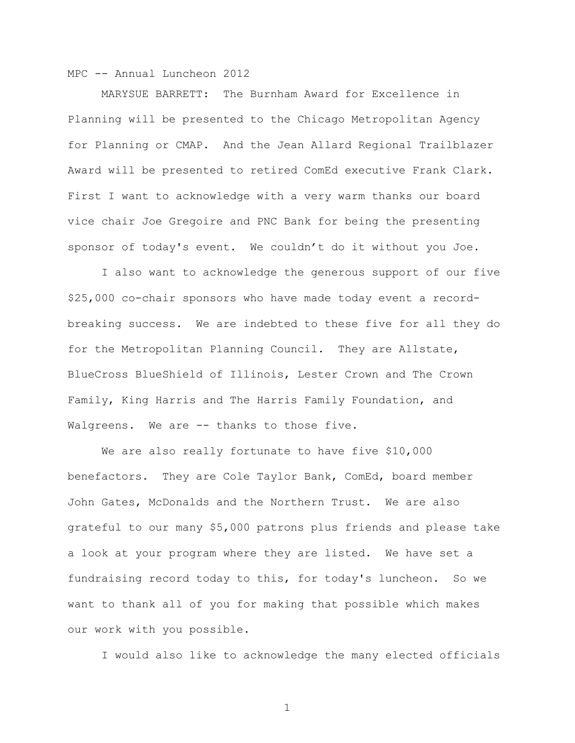MARYSUE BARRETT: The Burnham Award for Excellence in Planning will be presented to the Chicago Metropolitan Agency for Planning or CMAP. And the Jean Allard Regional Trailblazer Award will be presented to retired ComEd executive Frank Clark. First I want to acknowledge with a very warm thanks our board vice chair Joe Gregoire and PNC Bank for being the presenting sponsor of today's event. We couldn't do it without you Joe.

I also want to acknowledge the generous support of our five \$25,000 co-chair sponsors who have made today event a recordbreaking success. We are indebted to these five for all they do for the Metropolitan Planning Council. They are Allstate, BlueCross BlueShield of Illinois, Lester Crown and The Crown Family, King Harris and The Harris Family Foundation, and Walgreens. We are -- thanks to those five.

We are also really fortunate to have five \$10,000 benefactors. They are Cole Taylor Bank, ComEd, board member John Gates, McDonalds and the Northern Trust. We are also grateful to our many \$5,000 patrons plus friends and please take a look at your program where they are listed. We have set a fundraising record today to this, for today's luncheon. So we want to thank all of you for making that possible which makes our work with you possible.

I would also like to acknowledge the many elected officials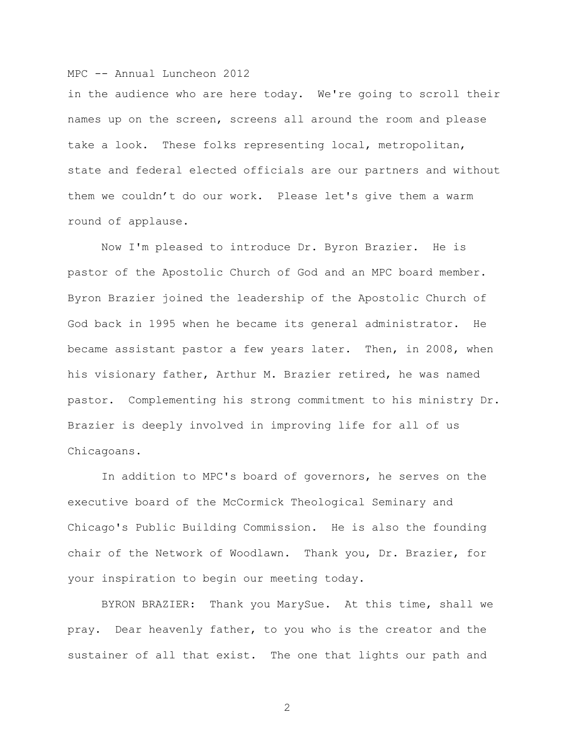in the audience who are here today. We're going to scroll their names up on the screen, screens all around the room and please take a look. These folks representing local, metropolitan, state and federal elected officials are our partners and without them we couldn't do our work. Please let's give them a warm round of applause.

Now I'm pleased to introduce Dr. Byron Brazier. He is pastor of the Apostolic Church of God and an MPC board member. Byron Brazier joined the leadership of the Apostolic Church of God back in 1995 when he became its general administrator. He became assistant pastor a few years later. Then, in 2008, when his visionary father, Arthur M. Brazier retired, he was named pastor. Complementing his strong commitment to his ministry Dr. Brazier is deeply involved in improving life for all of us Chicagoans.

In addition to MPC's board of governors, he serves on the executive board of the McCormick Theological Seminary and Chicago's Public Building Commission. He is also the founding chair of the Network of Woodlawn. Thank you, Dr. Brazier, for your inspiration to begin our meeting today.

BYRON BRAZIER: Thank you MarySue. At this time, shall we pray. Dear heavenly father, to you who is the creator and the sustainer of all that exist. The one that lights our path and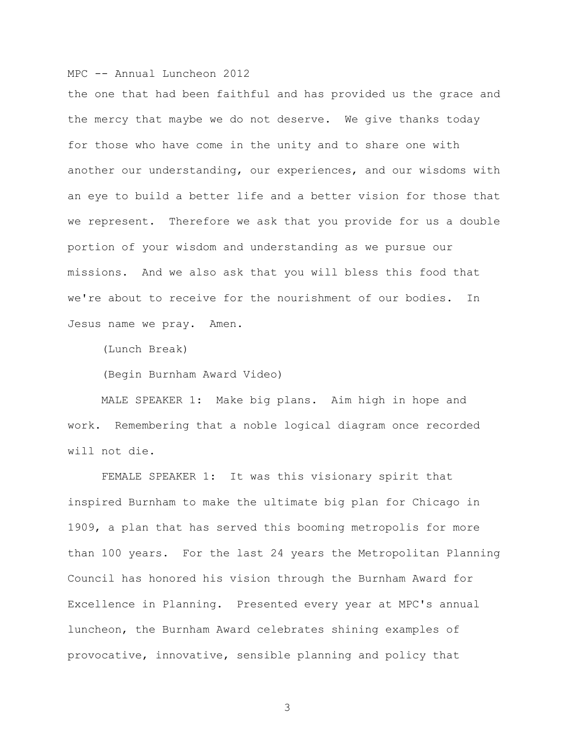the one that had been faithful and has provided us the grace and the mercy that maybe we do not deserve. We give thanks today for those who have come in the unity and to share one with another our understanding, our experiences, and our wisdoms with an eye to build a better life and a better vision for those that we represent. Therefore we ask that you provide for us a double portion of your wisdom and understanding as we pursue our missions. And we also ask that you will bless this food that we're about to receive for the nourishment of our bodies. In Jesus name we pray. Amen.

(Lunch Break)

(Begin Burnham Award Video)

MALE SPEAKER 1: Make big plans. Aim high in hope and work. Remembering that a noble logical diagram once recorded will not die.

FEMALE SPEAKER 1: It was this visionary spirit that inspired Burnham to make the ultimate big plan for Chicago in 1909, a plan that has served this booming metropolis for more than 100 years. For the last 24 years the Metropolitan Planning Council has honored his vision through the Burnham Award for Excellence in Planning. Presented every year at MPC's annual luncheon, the Burnham Award celebrates shining examples of provocative, innovative, sensible planning and policy that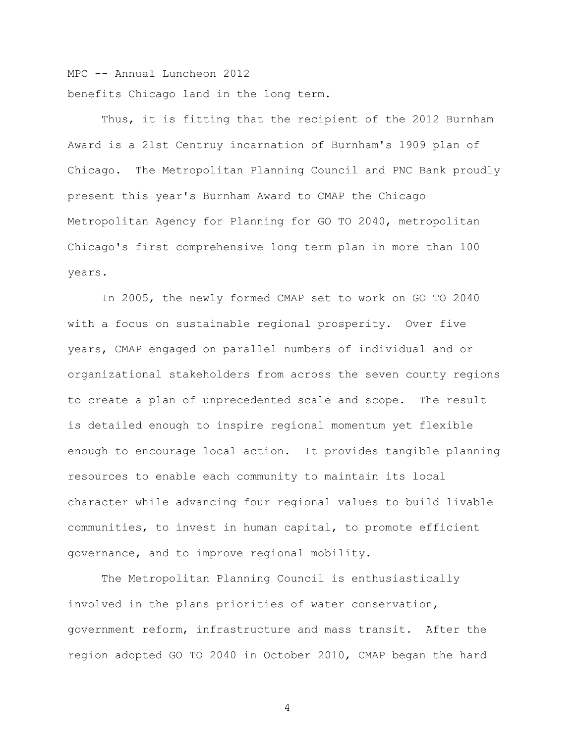MPC -- Annual Luncheon 2012 benefits Chicago land in the long term.

Thus, it is fitting that the recipient of the 2012 Burnham Award is a 21st Centruy incarnation of Burnham's 1909 plan of Chicago. The Metropolitan Planning Council and PNC Bank proudly present this year's Burnham Award to CMAP the Chicago Metropolitan Agency for Planning for GO TO 2040, metropolitan Chicago's first comprehensive long term plan in more than 100 years.

In 2005, the newly formed CMAP set to work on GO TO 2040 with a focus on sustainable regional prosperity. Over five years, CMAP engaged on parallel numbers of individual and or organizational stakeholders from across the seven county regions to create a plan of unprecedented scale and scope. The result is detailed enough to inspire regional momentum yet flexible enough to encourage local action. It provides tangible planning resources to enable each community to maintain its local character while advancing four regional values to build livable communities, to invest in human capital, to promote efficient governance, and to improve regional mobility.

The Metropolitan Planning Council is enthusiastically involved in the plans priorities of water conservation, government reform, infrastructure and mass transit. After the region adopted GO TO 2040 in October 2010, CMAP began the hard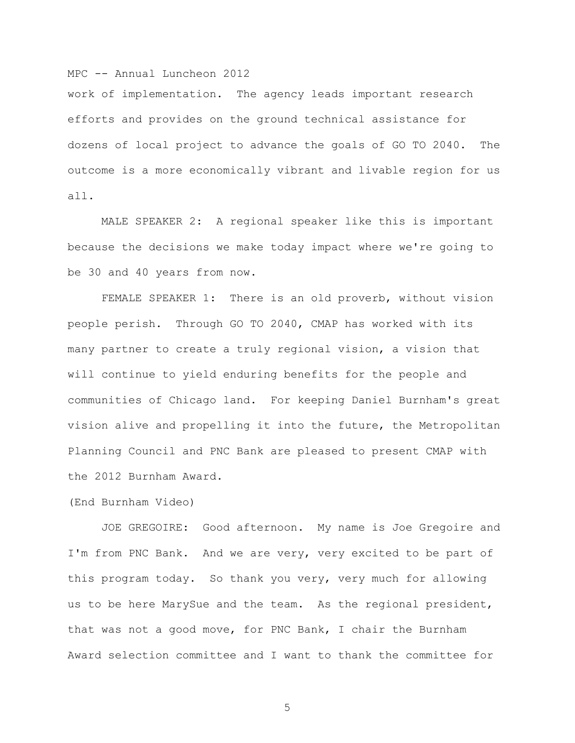work of implementation. The agency leads important research efforts and provides on the ground technical assistance for dozens of local project to advance the goals of GO TO 2040. The outcome is a more economically vibrant and livable region for us all.

MALE SPEAKER 2: A regional speaker like this is important because the decisions we make today impact where we're going to be 30 and 40 years from now.

FEMALE SPEAKER 1: There is an old proverb, without vision people perish. Through GO TO 2040, CMAP has worked with its many partner to create a truly regional vision, a vision that will continue to yield enduring benefits for the people and communities of Chicago land. For keeping Daniel Burnham's great vision alive and propelling it into the future, the Metropolitan Planning Council and PNC Bank are pleased to present CMAP with the 2012 Burnham Award.

(End Burnham Video)

JOE GREGOIRE: Good afternoon. My name is Joe Gregoire and I'm from PNC Bank. And we are very, very excited to be part of this program today. So thank you very, very much for allowing us to be here MarySue and the team. As the regional president, that was not a good move, for PNC Bank, I chair the Burnham Award selection committee and I want to thank the committee for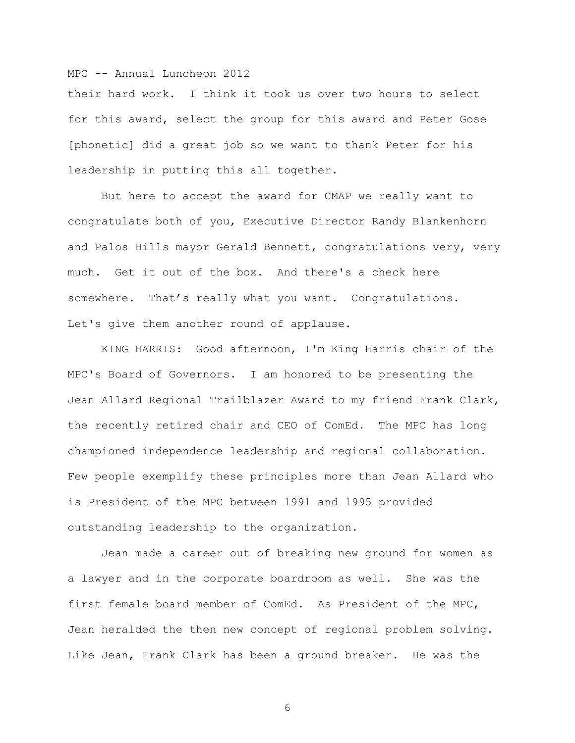their hard work. I think it took us over two hours to select for this award, select the group for this award and Peter Gose [phonetic] did a great job so we want to thank Peter for his leadership in putting this all together.

But here to accept the award for CMAP we really want to congratulate both of you, Executive Director Randy Blankenhorn and Palos Hills mayor Gerald Bennett, congratulations very, very much. Get it out of the box. And there's a check here somewhere. That's really what you want. Congratulations. Let's give them another round of applause.

KING HARRIS: Good afternoon, I'm King Harris chair of the MPC's Board of Governors. I am honored to be presenting the Jean Allard Regional Trailblazer Award to my friend Frank Clark, the recently retired chair and CEO of ComEd. The MPC has long championed independence leadership and regional collaboration. Few people exemplify these principles more than Jean Allard who is President of the MPC between 1991 and 1995 provided outstanding leadership to the organization.

Jean made a career out of breaking new ground for women as a lawyer and in the corporate boardroom as well. She was the first female board member of ComEd. As President of the MPC, Jean heralded the then new concept of regional problem solving. Like Jean, Frank Clark has been a ground breaker. He was the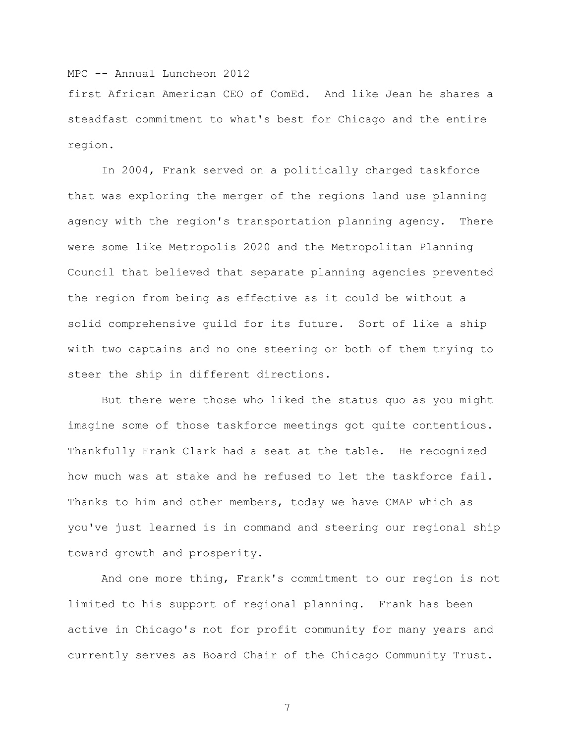first African American CEO of ComEd. And like Jean he shares a steadfast commitment to what's best for Chicago and the entire region.

In 2004, Frank served on a politically charged taskforce that was exploring the merger of the regions land use planning agency with the region's transportation planning agency. There were some like Metropolis 2020 and the Metropolitan Planning Council that believed that separate planning agencies prevented the region from being as effective as it could be without a solid comprehensive guild for its future. Sort of like a ship with two captains and no one steering or both of them trying to steer the ship in different directions.

But there were those who liked the status quo as you might imagine some of those taskforce meetings got quite contentious. Thankfully Frank Clark had a seat at the table. He recognized how much was at stake and he refused to let the taskforce fail. Thanks to him and other members, today we have CMAP which as you've just learned is in command and steering our regional ship toward growth and prosperity.

And one more thing, Frank's commitment to our region is not limited to his support of regional planning. Frank has been active in Chicago's not for profit community for many years and currently serves as Board Chair of the Chicago Community Trust.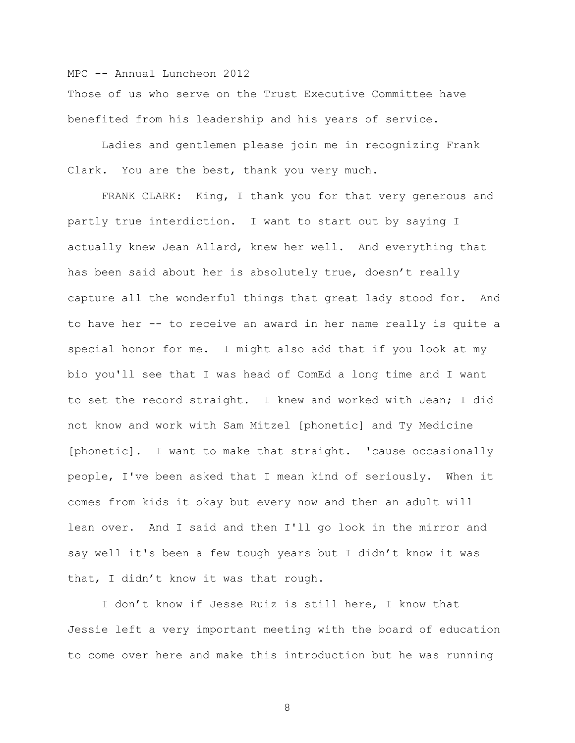Those of us who serve on the Trust Executive Committee have benefited from his leadership and his years of service.

Ladies and gentlemen please join me in recognizing Frank Clark. You are the best, thank you very much.

FRANK CLARK: King, I thank you for that very generous and partly true interdiction. I want to start out by saying I actually knew Jean Allard, knew her well. And everything that has been said about her is absolutely true, doesn't really capture all the wonderful things that great lady stood for. And to have her -- to receive an award in her name really is quite a special honor for me. I might also add that if you look at my bio you'll see that I was head of ComEd a long time and I want to set the record straight. I knew and worked with Jean; I did not know and work with Sam Mitzel [phonetic] and Ty Medicine [phonetic]. I want to make that straight. 'cause occasionally people, I've been asked that I mean kind of seriously. When it comes from kids it okay but every now and then an adult will lean over. And I said and then I'll go look in the mirror and say well it's been a few tough years but I didn't know it was that, I didn't know it was that rough.

I don't know if Jesse Ruiz is still here, I know that Jessie left a very important meeting with the board of education to come over here and make this introduction but he was running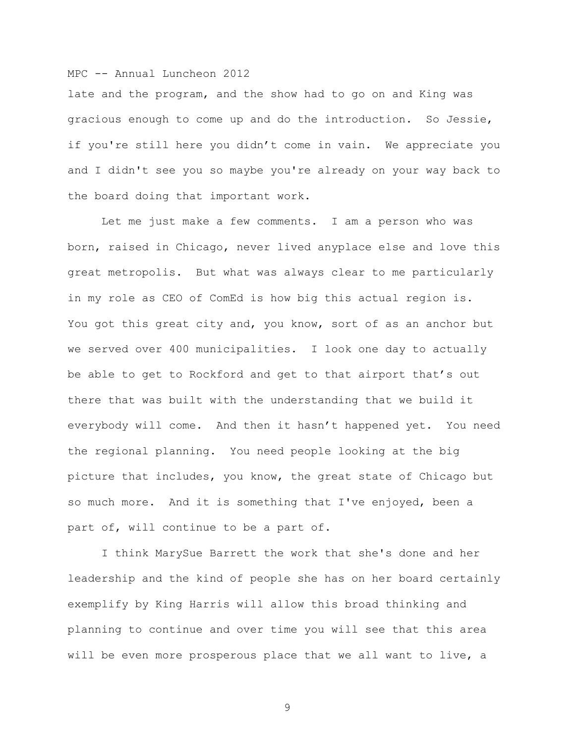late and the program, and the show had to go on and King was gracious enough to come up and do the introduction. So Jessie, if you're still here you didn't come in vain. We appreciate you and I didn't see you so maybe you're already on your way back to the board doing that important work.

Let me just make a few comments. I am a person who was born, raised in Chicago, never lived anyplace else and love this great metropolis. But what was always clear to me particularly in my role as CEO of ComEd is how big this actual region is. You got this great city and, you know, sort of as an anchor but we served over 400 municipalities. I look one day to actually be able to get to Rockford and get to that airport that's out there that was built with the understanding that we build it everybody will come. And then it hasn't happened yet. You need the regional planning. You need people looking at the big picture that includes, you know, the great state of Chicago but so much more. And it is something that I've enjoyed, been a part of, will continue to be a part of.

I think MarySue Barrett the work that she's done and her leadership and the kind of people she has on her board certainly exemplify by King Harris will allow this broad thinking and planning to continue and over time you will see that this area will be even more prosperous place that we all want to live, a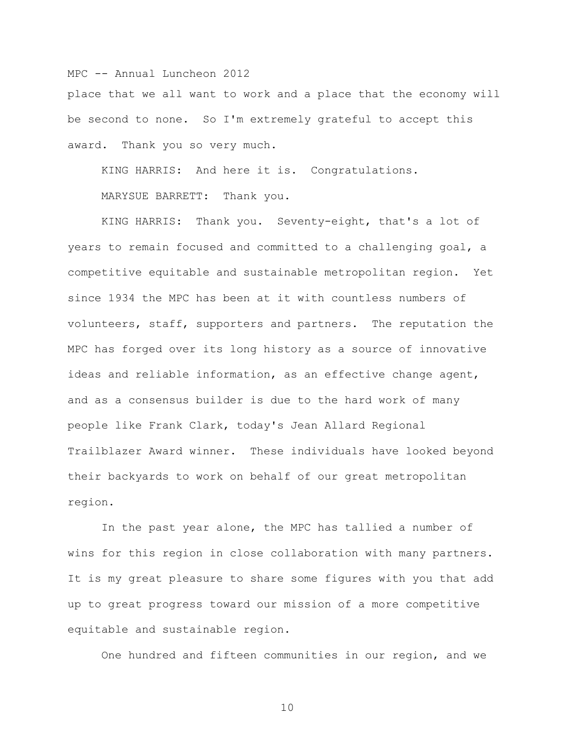place that we all want to work and a place that the economy will be second to none. So I'm extremely grateful to accept this award. Thank you so very much.

KING HARRIS: And here it is. Congratulations.

MARYSUE BARRETT: Thank you.

KING HARRIS: Thank you. Seventy-eight, that's a lot of years to remain focused and committed to a challenging goal, a competitive equitable and sustainable metropolitan region. Yet since 1934 the MPC has been at it with countless numbers of volunteers, staff, supporters and partners. The reputation the MPC has forged over its long history as a source of innovative ideas and reliable information, as an effective change agent, and as a consensus builder is due to the hard work of many people like Frank Clark, today's Jean Allard Regional Trailblazer Award winner. These individuals have looked beyond their backyards to work on behalf of our great metropolitan region.

In the past year alone, the MPC has tallied a number of wins for this region in close collaboration with many partners. It is my great pleasure to share some figures with you that add up to great progress toward our mission of a more competitive equitable and sustainable region.

One hundred and fifteen communities in our region, and we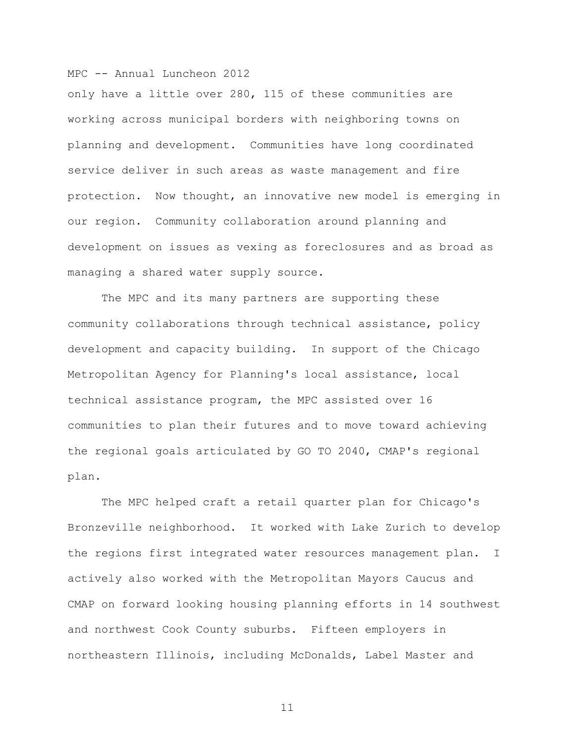only have a little over 280, 115 of these communities are working across municipal borders with neighboring towns on planning and development. Communities have long coordinated service deliver in such areas as waste management and fire protection. Now thought, an innovative new model is emerging in our region. Community collaboration around planning and development on issues as vexing as foreclosures and as broad as managing a shared water supply source.

The MPC and its many partners are supporting these community collaborations through technical assistance, policy development and capacity building. In support of the Chicago Metropolitan Agency for Planning's local assistance, local technical assistance program, the MPC assisted over 16 communities to plan their futures and to move toward achieving the regional goals articulated by GO TO 2040, CMAP's regional plan.

The MPC helped craft a retail quarter plan for Chicago's Bronzeville neighborhood. It worked with Lake Zurich to develop the regions first integrated water resources management plan. I actively also worked with the Metropolitan Mayors Caucus and CMAP on forward looking housing planning efforts in 14 southwest and northwest Cook County suburbs. Fifteen employers in northeastern Illinois, including McDonalds, Label Master and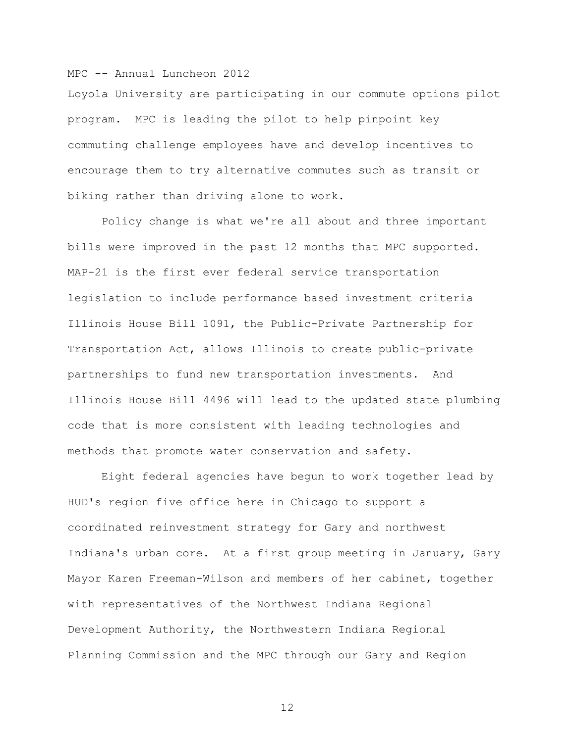Loyola University are participating in our commute options pilot program. MPC is leading the pilot to help pinpoint key commuting challenge employees have and develop incentives to encourage them to try alternative commutes such as transit or biking rather than driving alone to work.

Policy change is what we're all about and three important bills were improved in the past 12 months that MPC supported. MAP-21 is the first ever federal service transportation legislation to include performance based investment criteria Illinois House Bill 1091, the Public-Private Partnership for Transportation Act, allows Illinois to create public-private partnerships to fund new transportation investments. And Illinois House Bill 4496 will lead to the updated state plumbing code that is more consistent with leading technologies and methods that promote water conservation and safety.

Eight federal agencies have begun to work together lead by HUD's region five office here in Chicago to support a coordinated reinvestment strategy for Gary and northwest Indiana's urban core. At a first group meeting in January, Gary Mayor Karen Freeman-Wilson and members of her cabinet, together with representatives of the Northwest Indiana Regional Development Authority, the Northwestern Indiana Regional Planning Commission and the MPC through our Gary and Region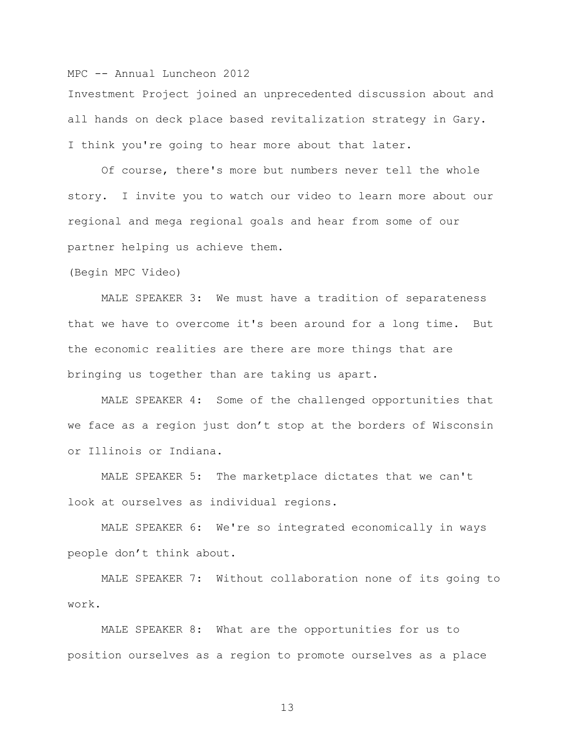Investment Project joined an unprecedented discussion about and all hands on deck place based revitalization strategy in Gary. I think you're going to hear more about that later.

Of course, there's more but numbers never tell the whole story. I invite you to watch our video to learn more about our regional and mega regional goals and hear from some of our partner helping us achieve them.

(Begin MPC Video)

MALE SPEAKER 3: We must have a tradition of separateness that we have to overcome it's been around for a long time. But the economic realities are there are more things that are bringing us together than are taking us apart.

MALE SPEAKER 4: Some of the challenged opportunities that we face as a region just don't stop at the borders of Wisconsin or Illinois or Indiana.

MALE SPEAKER 5: The marketplace dictates that we can't look at ourselves as individual regions.

MALE SPEAKER 6: We're so integrated economically in ways people don't think about.

MALE SPEAKER 7: Without collaboration none of its going to work.

MALE SPEAKER 8: What are the opportunities for us to position ourselves as a region to promote ourselves as a place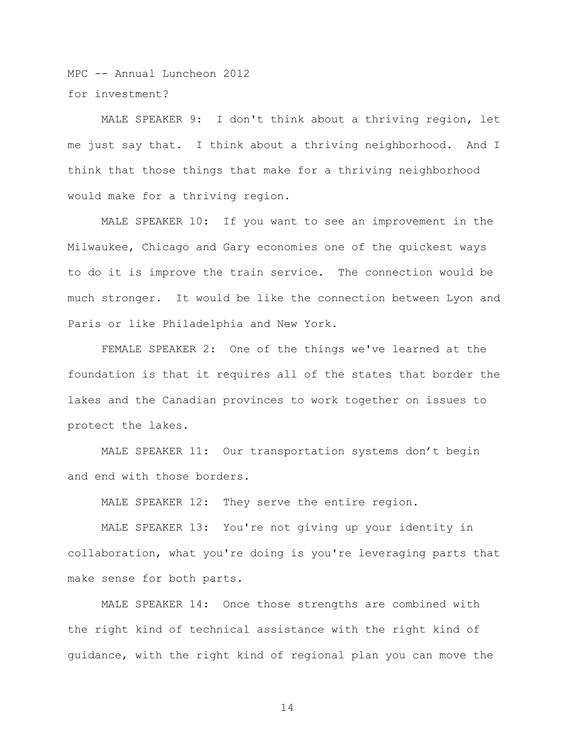MPC -- Annual Luncheon 2012 for investment?

MALE SPEAKER 9: I don't think about a thriving region, let me just say that. I think about a thriving neighborhood. And I think that those things that make for a thriving neighborhood would make for a thriving region.

MALE SPEAKER 10: If you want to see an improvement in the Milwaukee, Chicago and Gary economies one of the quickest ways to do it is improve the train service. The connection would be much stronger. It would be like the connection between Lyon and Paris or like Philadelphia and New York.

FEMALE SPEAKER 2: One of the things we've learned at the foundation is that it requires all of the states that border the lakes and the Canadian provinces to work together on issues to protect the lakes.

MALE SPEAKER 11: Our transportation systems don't begin and end with those borders.

MALE SPEAKER 12: They serve the entire region.

MALE SPEAKER 13: You're not giving up your identity in collaboration, what you're doing is you're leveraging parts that make sense for both parts.

MALE SPEAKER 14: Once those strengths are combined with the right kind of technical assistance with the right kind of guidance, with the right kind of regional plan you can move the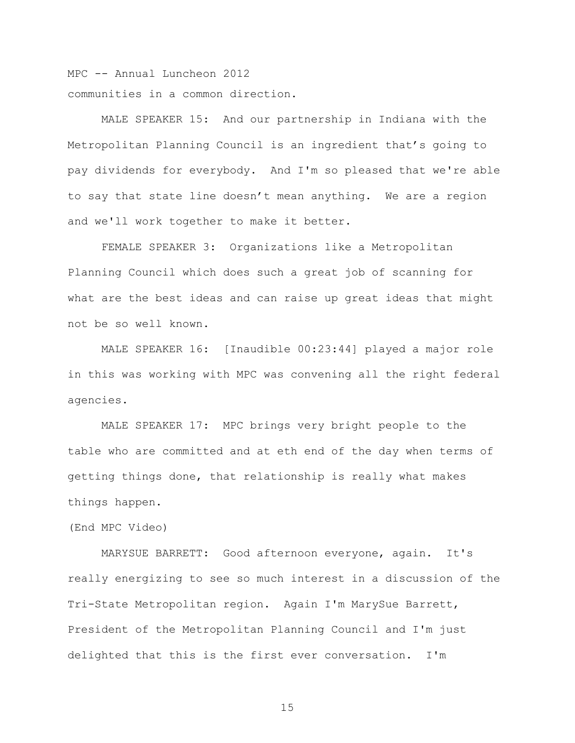MPC -- Annual Luncheon 2012 communities in a common direction.

MALE SPEAKER 15: And our partnership in Indiana with the Metropolitan Planning Council is an ingredient that's going to pay dividends for everybody. And I'm so pleased that we're able to say that state line doesn't mean anything. We are a region and we'll work together to make it better.

FEMALE SPEAKER 3: Organizations like a Metropolitan Planning Council which does such a great job of scanning for what are the best ideas and can raise up great ideas that might not be so well known.

MALE SPEAKER 16: [Inaudible 00:23:44] played a major role in this was working with MPC was convening all the right federal agencies.

MALE SPEAKER 17: MPC brings very bright people to the table who are committed and at eth end of the day when terms of getting things done, that relationship is really what makes things happen.

(End MPC Video)

MARYSUE BARRETT: Good afternoon everyone, again. It's really energizing to see so much interest in a discussion of the Tri-State Metropolitan region. Again I'm MarySue Barrett, President of the Metropolitan Planning Council and I'm just delighted that this is the first ever conversation. I'm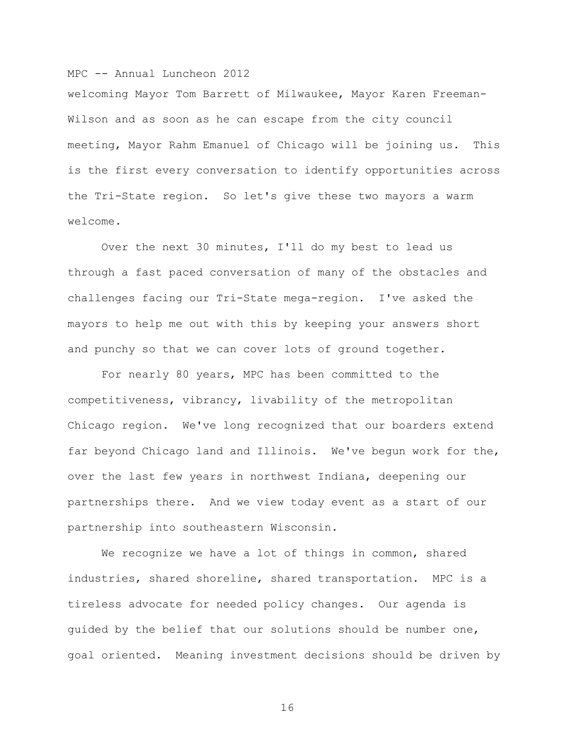welcoming Mayor Tom Barrett of Milwaukee, Mayor Karen Freeman-Wilson and as soon as he can escape from the city council meeting, Mayor Rahm Emanuel of Chicago will be joining us. This is the first every conversation to identify opportunities across the Tri-State region. So let's give these two mayors a warm welcome.

Over the next 30 minutes, I'll do my best to lead us through a fast paced conversation of many of the obstacles and challenges facing our Tri-State mega-region. I've asked the mayors to help me out with this by keeping your answers short and punchy so that we can cover lots of ground together.

For nearly 80 years, MPC has been committed to the competitiveness, vibrancy, livability of the metropolitan Chicago region. We've long recognized that our boarders extend far beyond Chicago land and Illinois. We've begun work for the, over the last few years in northwest Indiana, deepening our partnerships there. And we view today event as a start of our partnership into southeastern Wisconsin.

We recognize we have a lot of things in common, shared industries, shared shoreline, shared transportation. MPC is a tireless advocate for needed policy changes. Our agenda is guided by the belief that our solutions should be number one, goal oriented. Meaning investment decisions should be driven by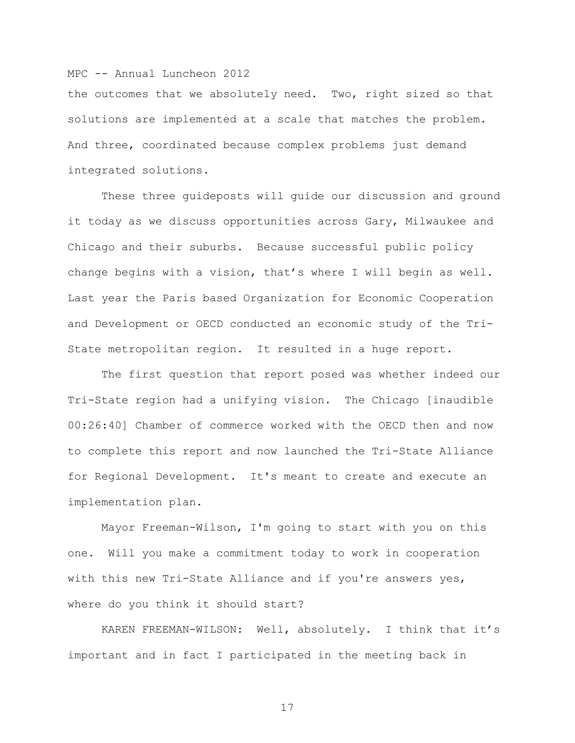the outcomes that we absolutely need. Two, right sized so that solutions are implemented at a scale that matches the problem. And three, coordinated because complex problems just demand integrated solutions.

These three guideposts will guide our discussion and ground it today as we discuss opportunities across Gary, Milwaukee and Chicago and their suburbs. Because successful public policy change begins with a vision, that's where I will begin as well. Last year the Paris based Organization for Economic Cooperation and Development or OECD conducted an economic study of the Tri-State metropolitan region. It resulted in a huge report.

The first question that report posed was whether indeed our Tri-State region had a unifying vision. The Chicago [inaudible 00:26:40] Chamber of commerce worked with the OECD then and now to complete this report and now launched the Tri-State Alliance for Regional Development. It's meant to create and execute an implementation plan.

Mayor Freeman-Wilson, I'm going to start with you on this one. Will you make a commitment today to work in cooperation with this new Tri-State Alliance and if you're answers yes, where do you think it should start?

KAREN FREEMAN-WILSON: Well, absolutely. I think that it's important and in fact I participated in the meeting back in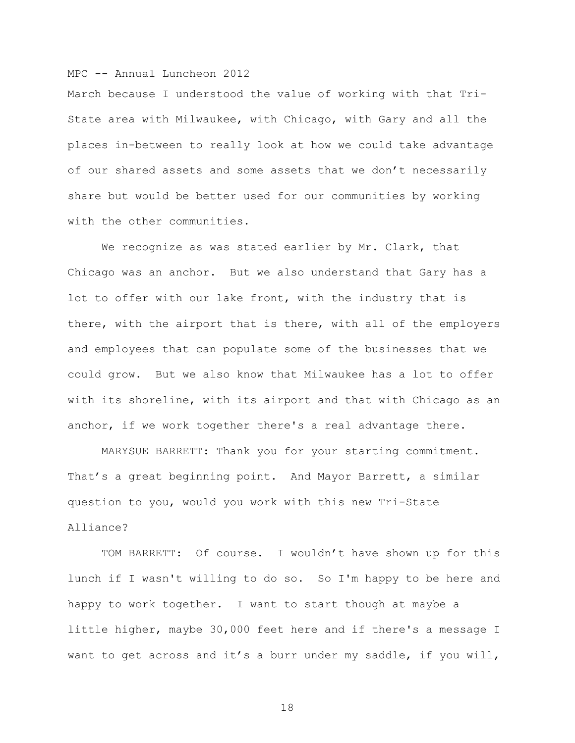March because I understood the value of working with that Tri-State area with Milwaukee, with Chicago, with Gary and all the places in-between to really look at how we could take advantage of our shared assets and some assets that we don't necessarily share but would be better used for our communities by working with the other communities.

We recognize as was stated earlier by Mr. Clark, that Chicago was an anchor. But we also understand that Gary has a lot to offer with our lake front, with the industry that is there, with the airport that is there, with all of the employers and employees that can populate some of the businesses that we could grow. But we also know that Milwaukee has a lot to offer with its shoreline, with its airport and that with Chicago as an anchor, if we work together there's a real advantage there.

MARYSUE BARRETT: Thank you for your starting commitment. That's a great beginning point. And Mayor Barrett, a similar question to you, would you work with this new Tri-State Alliance?

TOM BARRETT: Of course. I wouldn't have shown up for this lunch if I wasn't willing to do so. So I'm happy to be here and happy to work together. I want to start though at maybe a little higher, maybe 30,000 feet here and if there's a message I want to get across and it's a burr under my saddle, if you will,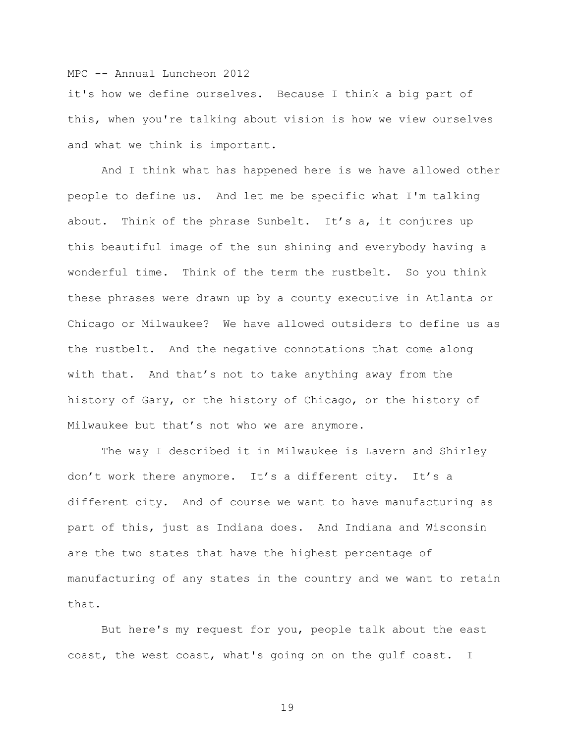it's how we define ourselves. Because I think a big part of this, when you're talking about vision is how we view ourselves and what we think is important.

And I think what has happened here is we have allowed other people to define us. And let me be specific what I'm talking about. Think of the phrase Sunbelt. It's a, it conjures up this beautiful image of the sun shining and everybody having a wonderful time. Think of the term the rustbelt. So you think these phrases were drawn up by a county executive in Atlanta or Chicago or Milwaukee? We have allowed outsiders to define us as the rustbelt. And the negative connotations that come along with that. And that's not to take anything away from the history of Gary, or the history of Chicago, or the history of Milwaukee but that's not who we are anymore.

The way I described it in Milwaukee is Lavern and Shirley don't work there anymore. It's a different city. It's a different city. And of course we want to have manufacturing as part of this, just as Indiana does. And Indiana and Wisconsin are the two states that have the highest percentage of manufacturing of any states in the country and we want to retain that.

But here's my request for you, people talk about the east coast, the west coast, what's going on on the gulf coast. I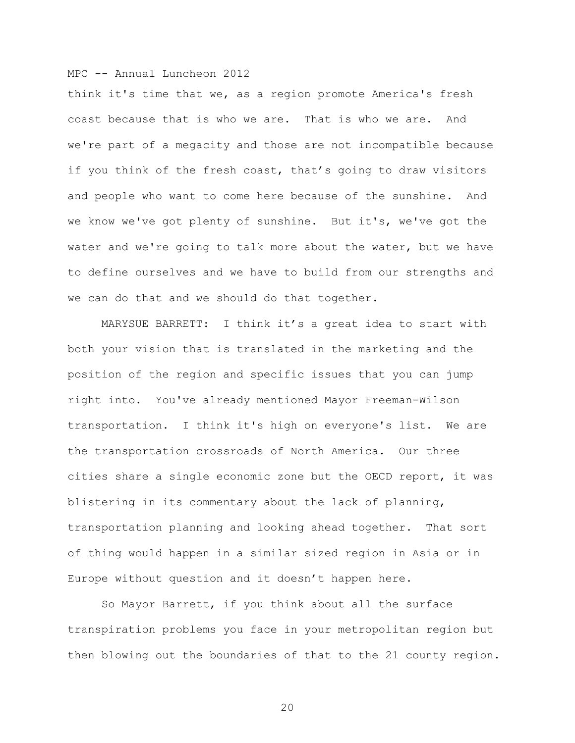think it's time that we, as a region promote America's fresh coast because that is who we are. That is who we are. And we're part of a megacity and those are not incompatible because if you think of the fresh coast, that's going to draw visitors and people who want to come here because of the sunshine. And we know we've got plenty of sunshine. But it's, we've got the water and we're going to talk more about the water, but we have to define ourselves and we have to build from our strengths and we can do that and we should do that together.

MARYSUE BARRETT: I think it's a great idea to start with both your vision that is translated in the marketing and the position of the region and specific issues that you can jump right into. You've already mentioned Mayor Freeman-Wilson transportation. I think it's high on everyone's list. We are the transportation crossroads of North America. Our three cities share a single economic zone but the OECD report, it was blistering in its commentary about the lack of planning, transportation planning and looking ahead together. That sort of thing would happen in a similar sized region in Asia or in Europe without question and it doesn't happen here.

So Mayor Barrett, if you think about all the surface transpiration problems you face in your metropolitan region but then blowing out the boundaries of that to the 21 county region.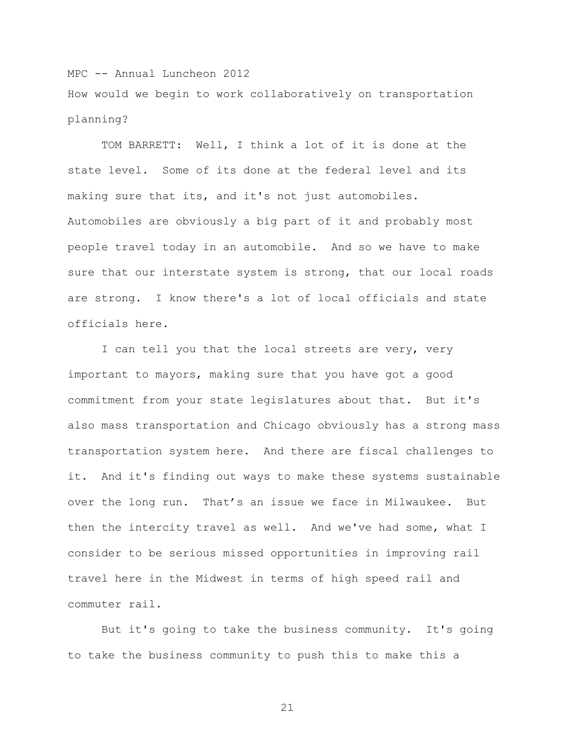MPC -- Annual Luncheon 2012 How would we begin to work collaboratively on transportation planning?

TOM BARRETT: Well, I think a lot of it is done at the state level. Some of its done at the federal level and its making sure that its, and it's not just automobiles. Automobiles are obviously a big part of it and probably most people travel today in an automobile. And so we have to make sure that our interstate system is strong, that our local roads are strong. I know there's a lot of local officials and state officials here.

I can tell you that the local streets are very, very important to mayors, making sure that you have got a good commitment from your state legislatures about that. But it's also mass transportation and Chicago obviously has a strong mass transportation system here. And there are fiscal challenges to it. And it's finding out ways to make these systems sustainable over the long run. That's an issue we face in Milwaukee. But then the intercity travel as well. And we've had some, what I consider to be serious missed opportunities in improving rail travel here in the Midwest in terms of high speed rail and commuter rail.

But it's going to take the business community. It's going to take the business community to push this to make this a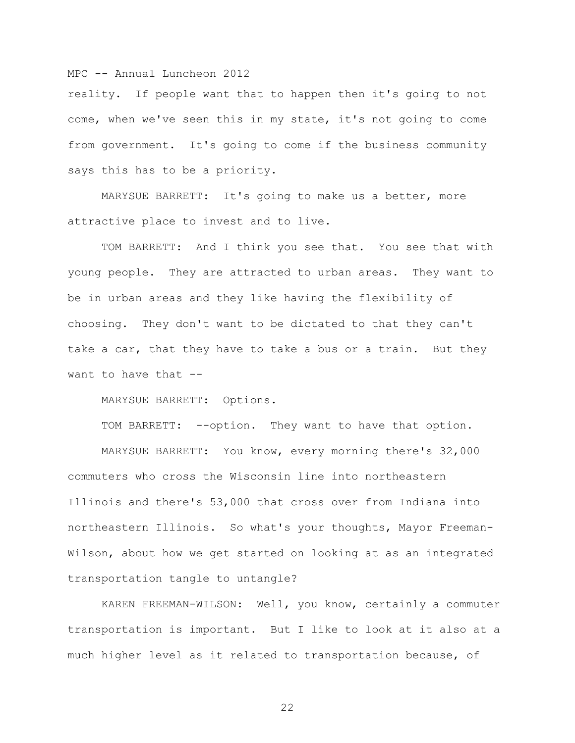reality. If people want that to happen then it's going to not come, when we've seen this in my state, it's not going to come from government. It's going to come if the business community says this has to be a priority.

MARYSUE BARRETT: It's going to make us a better, more attractive place to invest and to live.

TOM BARRETT: And I think you see that. You see that with young people. They are attracted to urban areas. They want to be in urban areas and they like having the flexibility of choosing. They don't want to be dictated to that they can't take a car, that they have to take a bus or a train. But they want to have that  $-$ 

MARYSUE BARRETT: Options.

TOM BARRETT: --option. They want to have that option.

MARYSUE BARRETT: You know, every morning there's 32,000 commuters who cross the Wisconsin line into northeastern Illinois and there's 53,000 that cross over from Indiana into northeastern Illinois. So what's your thoughts, Mayor Freeman-Wilson, about how we get started on looking at as an integrated transportation tangle to untangle?

KAREN FREEMAN-WILSON: Well, you know, certainly a commuter transportation is important. But I like to look at it also at a much higher level as it related to transportation because, of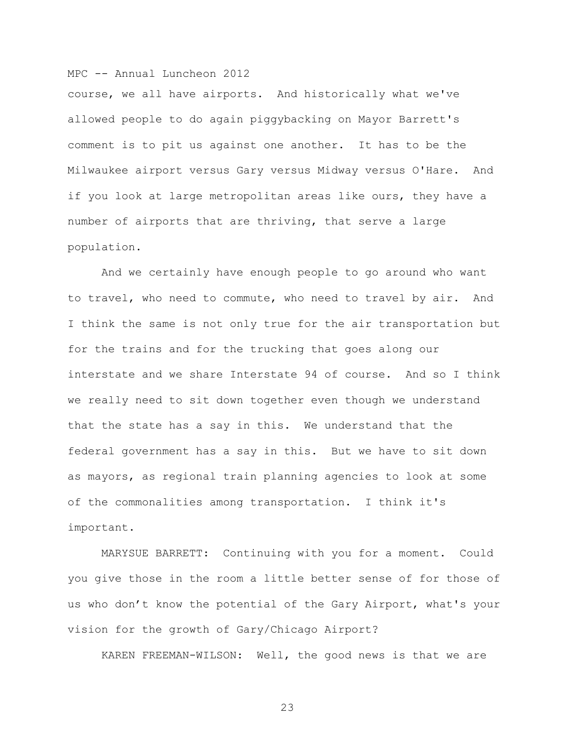course, we all have airports. And historically what we've allowed people to do again piggybacking on Mayor Barrett's comment is to pit us against one another. It has to be the Milwaukee airport versus Gary versus Midway versus O'Hare. And if you look at large metropolitan areas like ours, they have a number of airports that are thriving, that serve a large population.

And we certainly have enough people to go around who want to travel, who need to commute, who need to travel by air. And I think the same is not only true for the air transportation but for the trains and for the trucking that goes along our interstate and we share Interstate 94 of course. And so I think we really need to sit down together even though we understand that the state has a say in this. We understand that the federal government has a say in this. But we have to sit down as mayors, as regional train planning agencies to look at some of the commonalities among transportation. I think it's important.

MARYSUE BARRETT: Continuing with you for a moment. Could you give those in the room a little better sense of for those of us who don't know the potential of the Gary Airport, what's your vision for the growth of Gary/Chicago Airport?

KAREN FREEMAN-WILSON: Well, the good news is that we are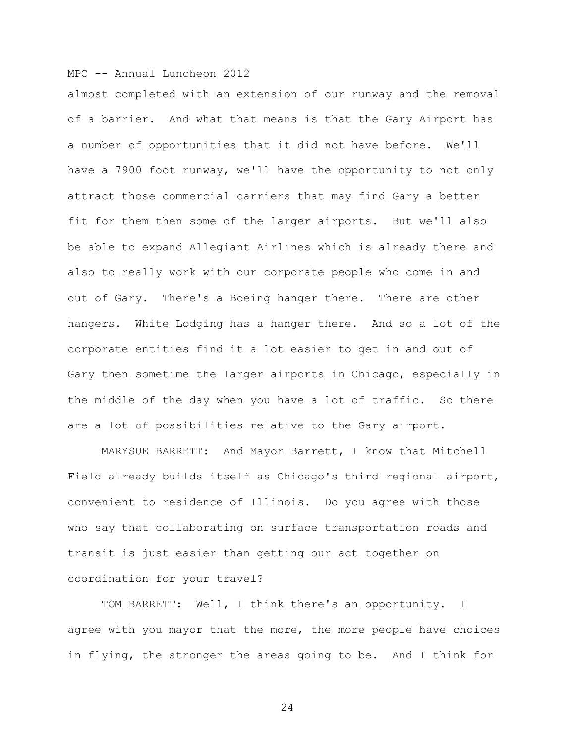almost completed with an extension of our runway and the removal of a barrier. And what that means is that the Gary Airport has a number of opportunities that it did not have before. We'll have a 7900 foot runway, we'll have the opportunity to not only attract those commercial carriers that may find Gary a better fit for them then some of the larger airports. But we'll also be able to expand Allegiant Airlines which is already there and also to really work with our corporate people who come in and out of Gary. There's a Boeing hanger there. There are other hangers. White Lodging has a hanger there. And so a lot of the corporate entities find it a lot easier to get in and out of Gary then sometime the larger airports in Chicago, especially in the middle of the day when you have a lot of traffic. So there are a lot of possibilities relative to the Gary airport.

MARYSUE BARRETT: And Mayor Barrett, I know that Mitchell Field already builds itself as Chicago's third regional airport, convenient to residence of Illinois. Do you agree with those who say that collaborating on surface transportation roads and transit is just easier than getting our act together on coordination for your travel?

TOM BARRETT: Well, I think there's an opportunity. I agree with you mayor that the more, the more people have choices in flying, the stronger the areas going to be. And I think for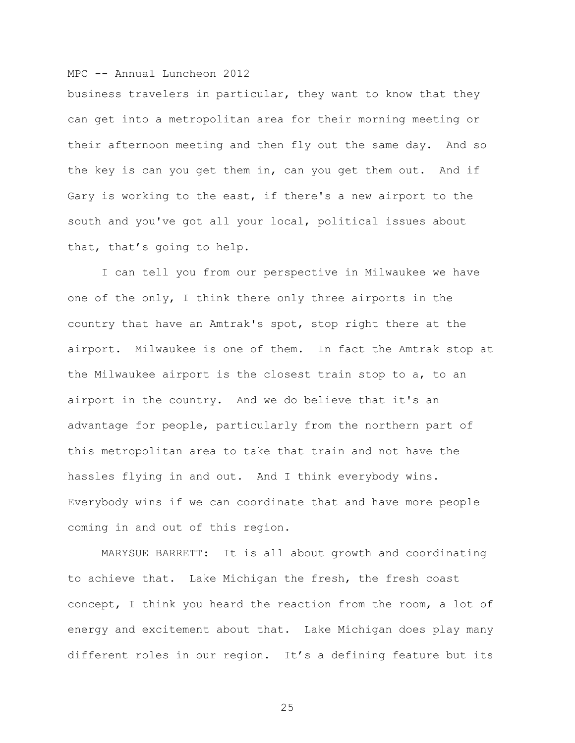business travelers in particular, they want to know that they can get into a metropolitan area for their morning meeting or their afternoon meeting and then fly out the same day. And so the key is can you get them in, can you get them out. And if Gary is working to the east, if there's a new airport to the south and you've got all your local, political issues about that, that's going to help.

I can tell you from our perspective in Milwaukee we have one of the only, I think there only three airports in the country that have an Amtrak's spot, stop right there at the airport. Milwaukee is one of them. In fact the Amtrak stop at the Milwaukee airport is the closest train stop to a, to an airport in the country. And we do believe that it's an advantage for people, particularly from the northern part of this metropolitan area to take that train and not have the hassles flying in and out. And I think everybody wins. Everybody wins if we can coordinate that and have more people coming in and out of this region.

MARYSUE BARRETT: It is all about growth and coordinating to achieve that. Lake Michigan the fresh, the fresh coast concept, I think you heard the reaction from the room, a lot of energy and excitement about that. Lake Michigan does play many different roles in our region. It's a defining feature but its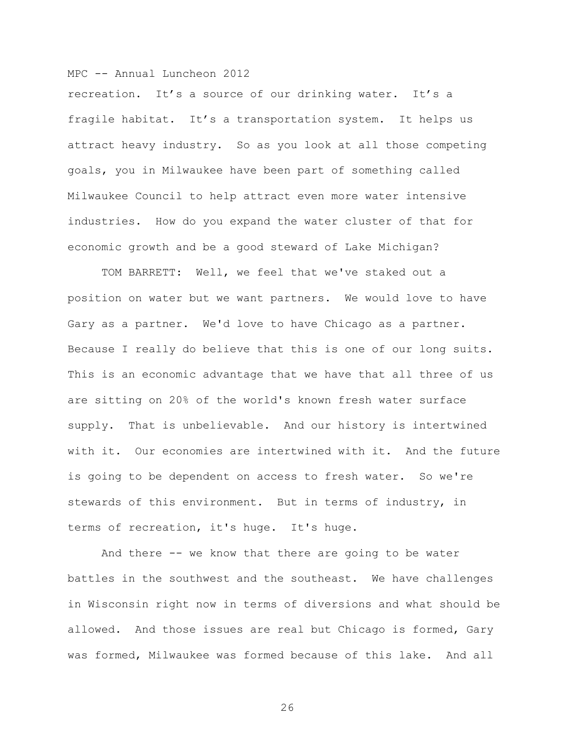recreation. It's a source of our drinking water. It's a fragile habitat. It's a transportation system. It helps us attract heavy industry. So as you look at all those competing goals, you in Milwaukee have been part of something called Milwaukee Council to help attract even more water intensive industries. How do you expand the water cluster of that for economic growth and be a good steward of Lake Michigan?

TOM BARRETT: Well, we feel that we've staked out a position on water but we want partners. We would love to have Gary as a partner. We'd love to have Chicago as a partner. Because I really do believe that this is one of our long suits. This is an economic advantage that we have that all three of us are sitting on 20% of the world's known fresh water surface supply. That is unbelievable. And our history is intertwined with it. Our economies are intertwined with it. And the future is going to be dependent on access to fresh water. So we're stewards of this environment. But in terms of industry, in terms of recreation, it's huge. It's huge.

And there -- we know that there are going to be water battles in the southwest and the southeast. We have challenges in Wisconsin right now in terms of diversions and what should be allowed. And those issues are real but Chicago is formed, Gary was formed, Milwaukee was formed because of this lake. And all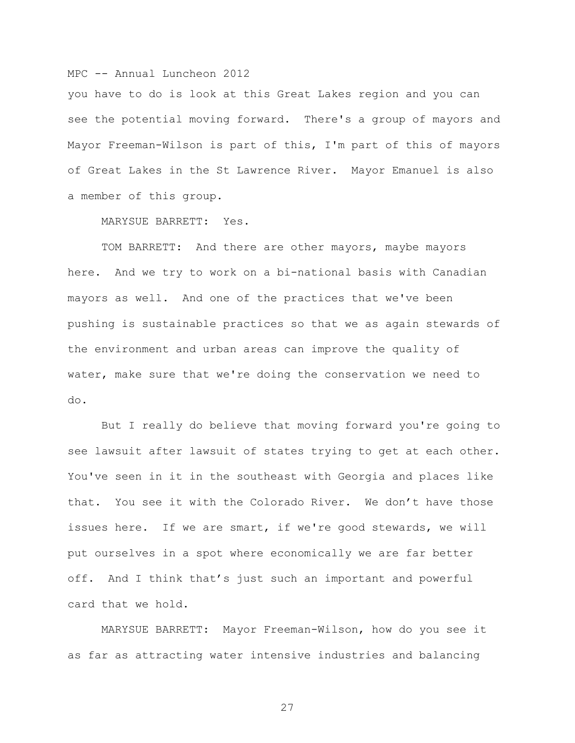you have to do is look at this Great Lakes region and you can see the potential moving forward. There's a group of mayors and Mayor Freeman-Wilson is part of this, I'm part of this of mayors of Great Lakes in the St Lawrence River. Mayor Emanuel is also a member of this group.

MARYSUE BARRETT: Yes.

TOM BARRETT: And there are other mayors, maybe mayors here. And we try to work on a bi-national basis with Canadian mayors as well. And one of the practices that we've been pushing is sustainable practices so that we as again stewards of the environment and urban areas can improve the quality of water, make sure that we're doing the conservation we need to do.

But I really do believe that moving forward you're going to see lawsuit after lawsuit of states trying to get at each other. You've seen in it in the southeast with Georgia and places like that. You see it with the Colorado River. We don't have those issues here. If we are smart, if we're good stewards, we will put ourselves in a spot where economically we are far better off. And I think that's just such an important and powerful card that we hold.

MARYSUE BARRETT: Mayor Freeman-Wilson, how do you see it as far as attracting water intensive industries and balancing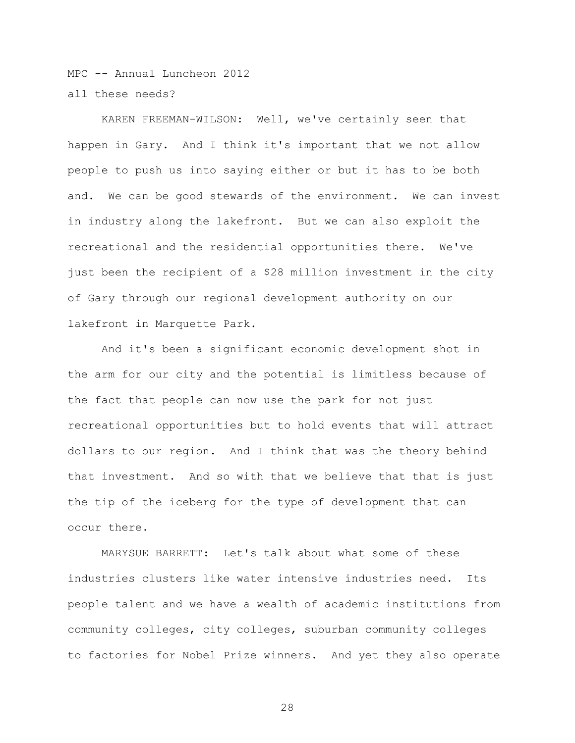MPC -- Annual Luncheon 2012 all these needs?

KAREN FREEMAN-WILSON: Well, we've certainly seen that happen in Gary. And I think it's important that we not allow people to push us into saying either or but it has to be both and. We can be good stewards of the environment. We can invest in industry along the lakefront. But we can also exploit the recreational and the residential opportunities there. We've just been the recipient of a \$28 million investment in the city of Gary through our regional development authority on our lakefront in Marquette Park.

And it's been a significant economic development shot in the arm for our city and the potential is limitless because of the fact that people can now use the park for not just recreational opportunities but to hold events that will attract dollars to our region. And I think that was the theory behind that investment. And so with that we believe that that is just the tip of the iceberg for the type of development that can occur there.

MARYSUE BARRETT: Let's talk about what some of these industries clusters like water intensive industries need. Its people talent and we have a wealth of academic institutions from community colleges, city colleges, suburban community colleges to factories for Nobel Prize winners. And yet they also operate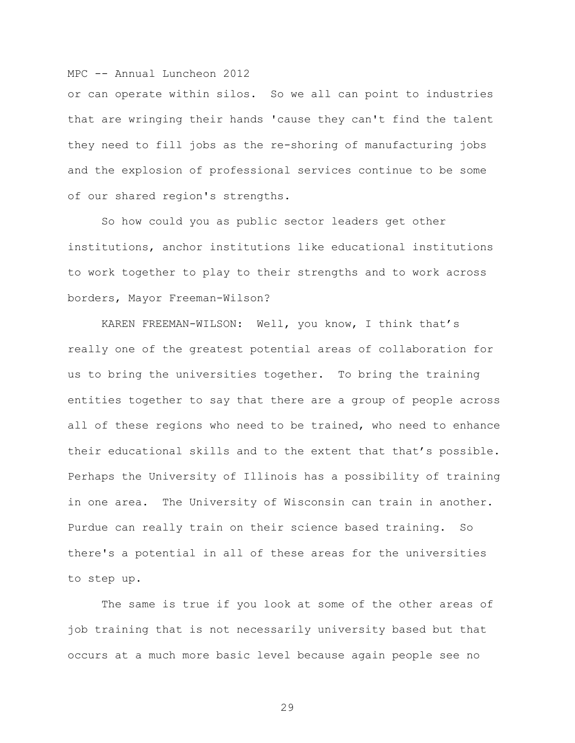or can operate within silos. So we all can point to industries that are wringing their hands 'cause they can't find the talent they need to fill jobs as the re-shoring of manufacturing jobs and the explosion of professional services continue to be some of our shared region's strengths.

So how could you as public sector leaders get other institutions, anchor institutions like educational institutions to work together to play to their strengths and to work across borders, Mayor Freeman-Wilson?

KAREN FREEMAN-WILSON: Well, you know, I think that's really one of the greatest potential areas of collaboration for us to bring the universities together. To bring the training entities together to say that there are a group of people across all of these regions who need to be trained, who need to enhance their educational skills and to the extent that that's possible. Perhaps the University of Illinois has a possibility of training in one area. The University of Wisconsin can train in another. Purdue can really train on their science based training. So there's a potential in all of these areas for the universities to step up.

The same is true if you look at some of the other areas of job training that is not necessarily university based but that occurs at a much more basic level because again people see no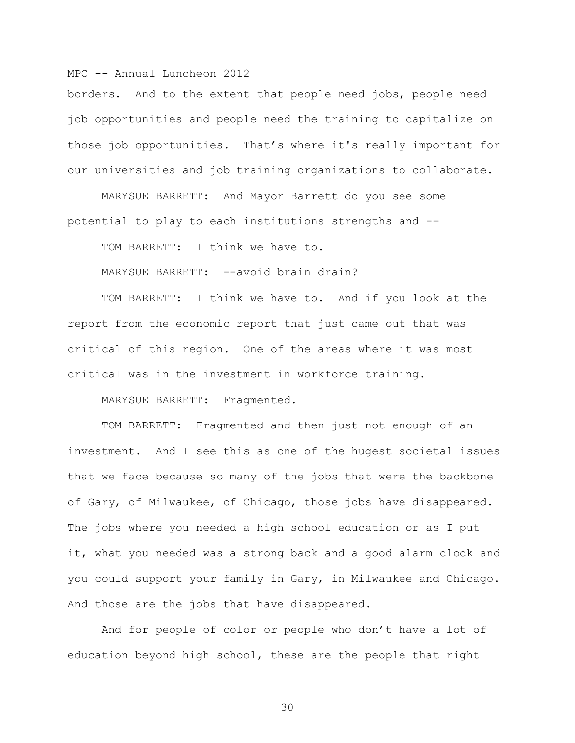borders. And to the extent that people need jobs, people need job opportunities and people need the training to capitalize on those job opportunities. That's where it's really important for our universities and job training organizations to collaborate.

MARYSUE BARRETT: And Mayor Barrett do you see some potential to play to each institutions strengths and --

TOM BARRETT: I think we have to.

MARYSUE BARRETT: --avoid brain drain?

TOM BARRETT: I think we have to. And if you look at the report from the economic report that just came out that was critical of this region. One of the areas where it was most critical was in the investment in workforce training.

MARYSUE BARRETT: Fragmented.

TOM BARRETT: Fragmented and then just not enough of an investment. And I see this as one of the hugest societal issues that we face because so many of the jobs that were the backbone of Gary, of Milwaukee, of Chicago, those jobs have disappeared. The jobs where you needed a high school education or as I put it, what you needed was a strong back and a good alarm clock and you could support your family in Gary, in Milwaukee and Chicago. And those are the jobs that have disappeared.

And for people of color or people who don't have a lot of education beyond high school, these are the people that right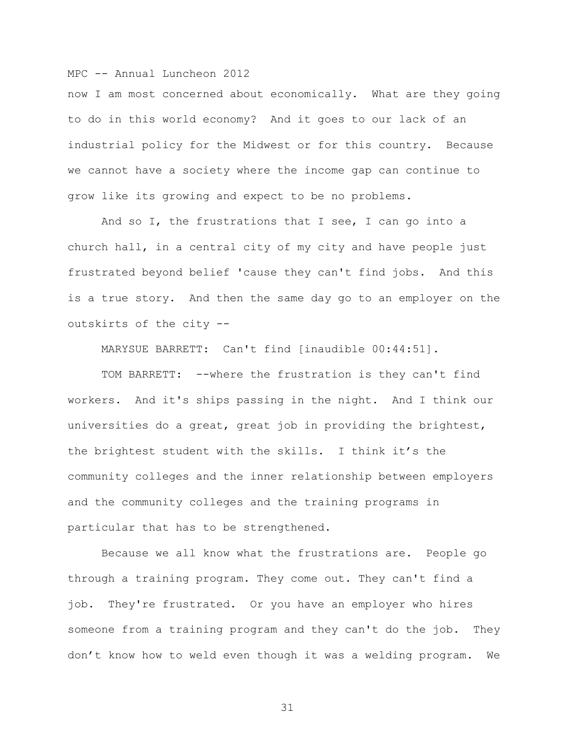now I am most concerned about economically. What are they going to do in this world economy? And it goes to our lack of an industrial policy for the Midwest or for this country. Because we cannot have a society where the income gap can continue to grow like its growing and expect to be no problems.

And so I, the frustrations that I see, I can go into a church hall, in a central city of my city and have people just frustrated beyond belief 'cause they can't find jobs. And this is a true story. And then the same day go to an employer on the outskirts of the city --

MARYSUE BARRETT: Can't find [inaudible 00:44:51].

TOM BARRETT: --where the frustration is they can't find workers. And it's ships passing in the night. And I think our universities do a great, great job in providing the brightest, the brightest student with the skills. I think it's the community colleges and the inner relationship between employers and the community colleges and the training programs in particular that has to be strengthened.

Because we all know what the frustrations are. People go through a training program. They come out. They can't find a job. They're frustrated. Or you have an employer who hires someone from a training program and they can't do the job. They don't know how to weld even though it was a welding program. We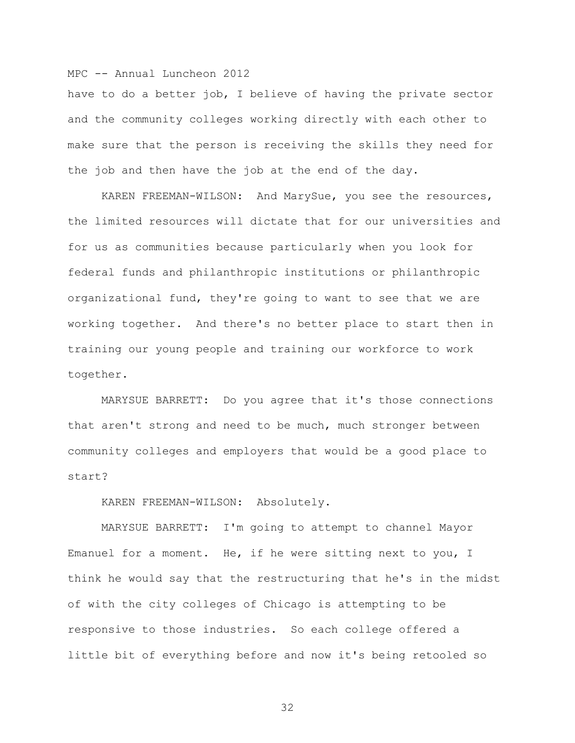have to do a better job, I believe of having the private sector and the community colleges working directly with each other to make sure that the person is receiving the skills they need for the job and then have the job at the end of the day.

KAREN FREEMAN-WILSON: And MarySue, you see the resources, the limited resources will dictate that for our universities and for us as communities because particularly when you look for federal funds and philanthropic institutions or philanthropic organizational fund, they're going to want to see that we are working together. And there's no better place to start then in training our young people and training our workforce to work together.

MARYSUE BARRETT: Do you agree that it's those connections that aren't strong and need to be much, much stronger between community colleges and employers that would be a good place to start?

KAREN FREEMAN-WILSON: Absolutely.

MARYSUE BARRETT: I'm going to attempt to channel Mayor Emanuel for a moment. He, if he were sitting next to you, I think he would say that the restructuring that he's in the midst of with the city colleges of Chicago is attempting to be responsive to those industries. So each college offered a little bit of everything before and now it's being retooled so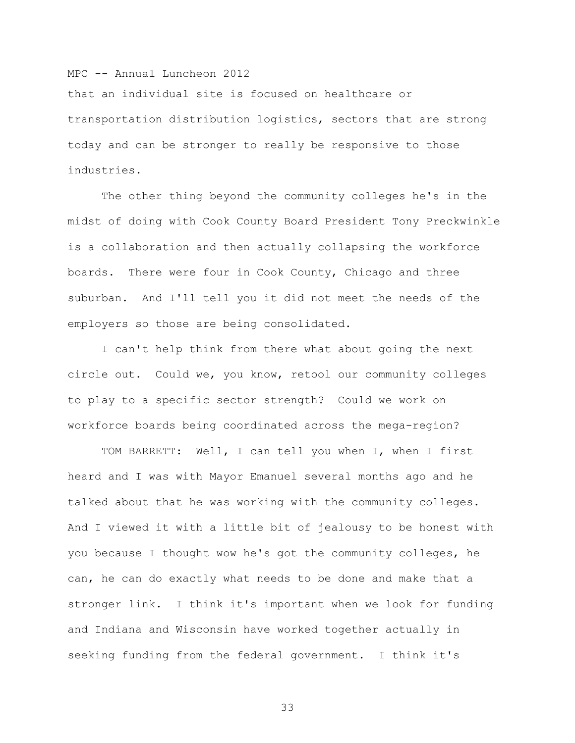that an individual site is focused on healthcare or transportation distribution logistics, sectors that are strong today and can be stronger to really be responsive to those industries.

The other thing beyond the community colleges he's in the midst of doing with Cook County Board President Tony Preckwinkle is a collaboration and then actually collapsing the workforce boards. There were four in Cook County, Chicago and three suburban. And I'll tell you it did not meet the needs of the employers so those are being consolidated.

I can't help think from there what about going the next circle out. Could we, you know, retool our community colleges to play to a specific sector strength? Could we work on workforce boards being coordinated across the mega-region?

TOM BARRETT: Well, I can tell you when I, when I first heard and I was with Mayor Emanuel several months ago and he talked about that he was working with the community colleges. And I viewed it with a little bit of jealousy to be honest with you because I thought wow he's got the community colleges, he can, he can do exactly what needs to be done and make that a stronger link. I think it's important when we look for funding and Indiana and Wisconsin have worked together actually in seeking funding from the federal government. I think it's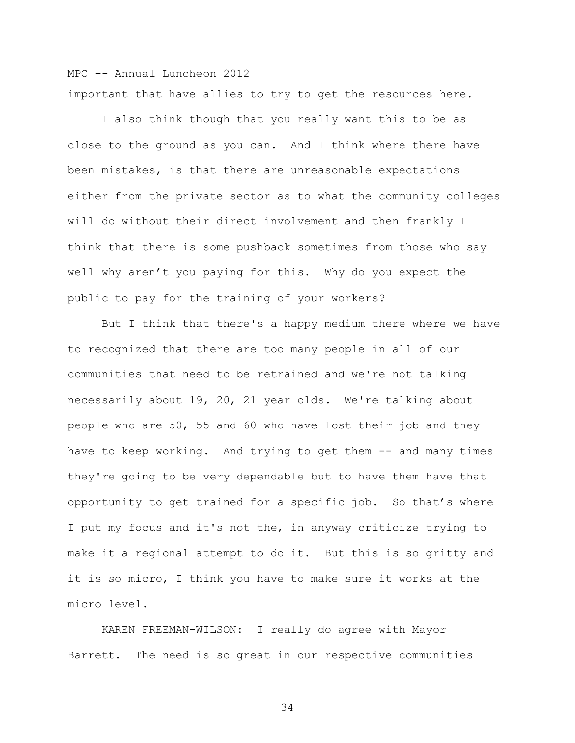MPC -- Annual Luncheon 2012 important that have allies to try to get the resources here.

I also think though that you really want this to be as close to the ground as you can. And I think where there have been mistakes, is that there are unreasonable expectations either from the private sector as to what the community colleges will do without their direct involvement and then frankly I think that there is some pushback sometimes from those who say well why aren't you paying for this. Why do you expect the public to pay for the training of your workers?

But I think that there's a happy medium there where we have to recognized that there are too many people in all of our communities that need to be retrained and we're not talking necessarily about 19, 20, 21 year olds. We're talking about people who are 50, 55 and 60 who have lost their job and they have to keep working. And trying to get them -- and many times they're going to be very dependable but to have them have that opportunity to get trained for a specific job. So that's where I put my focus and it's not the, in anyway criticize trying to make it a regional attempt to do it. But this is so gritty and it is so micro, I think you have to make sure it works at the micro level.

KAREN FREEMAN-WILSON: I really do agree with Mayor Barrett. The need is so great in our respective communities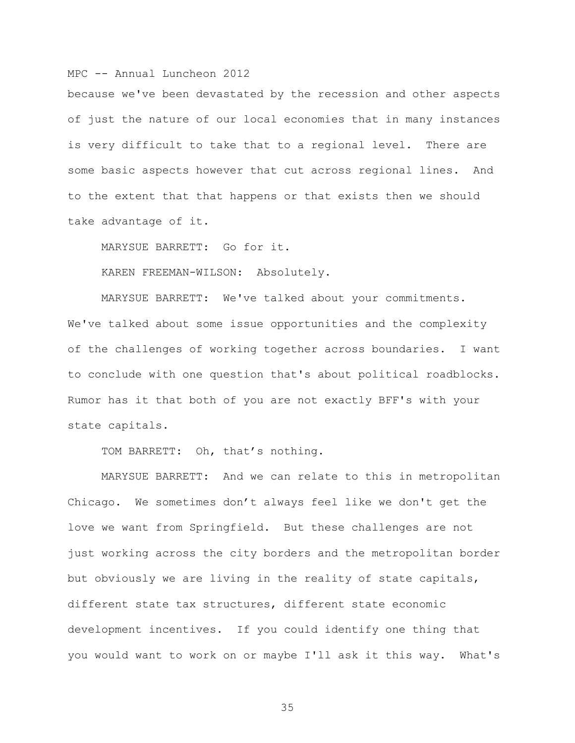because we've been devastated by the recession and other aspects of just the nature of our local economies that in many instances is very difficult to take that to a regional level. There are some basic aspects however that cut across regional lines. And to the extent that that happens or that exists then we should take advantage of it.

MARYSUE BARRETT: Go for it.

KAREN FREEMAN-WILSON: Absolutely.

MARYSUE BARRETT: We've talked about your commitments. We've talked about some issue opportunities and the complexity of the challenges of working together across boundaries. I want to conclude with one question that's about political roadblocks. Rumor has it that both of you are not exactly BFF's with your state capitals.

TOM BARRETT: Oh, that's nothing.

MARYSUE BARRETT: And we can relate to this in metropolitan Chicago. We sometimes don't always feel like we don't get the love we want from Springfield. But these challenges are not just working across the city borders and the metropolitan border but obviously we are living in the reality of state capitals, different state tax structures, different state economic development incentives. If you could identify one thing that you would want to work on or maybe I'll ask it this way. What's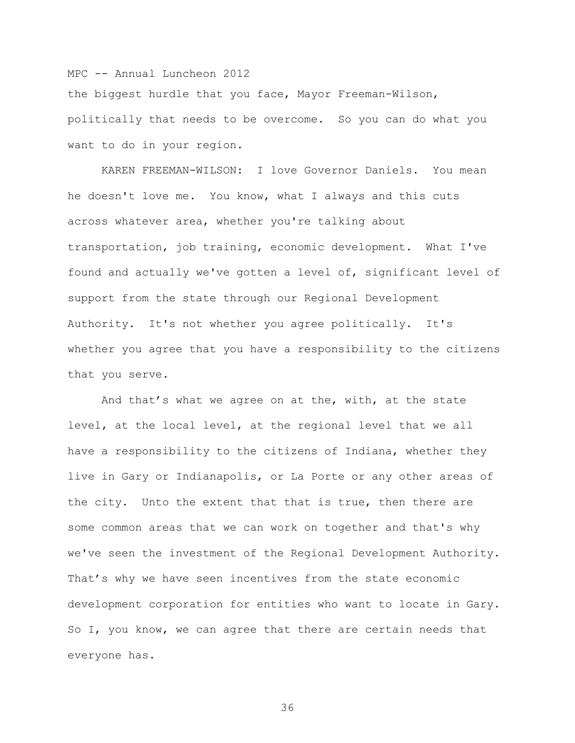the biggest hurdle that you face, Mayor Freeman-Wilson, politically that needs to be overcome. So you can do what you want to do in your region.

KAREN FREEMAN-WILSON: I love Governor Daniels. You mean he doesn't love me. You know, what I always and this cuts across whatever area, whether you're talking about transportation, job training, economic development. What I've found and actually we've gotten a level of, significant level of support from the state through our Regional Development Authority. It's not whether you agree politically. It's whether you agree that you have a responsibility to the citizens that you serve.

And that's what we agree on at the, with, at the state level, at the local level, at the regional level that we all have a responsibility to the citizens of Indiana, whether they live in Gary or Indianapolis, or La Porte or any other areas of the city. Unto the extent that that is true, then there are some common areas that we can work on together and that's why we've seen the investment of the Regional Development Authority. That's why we have seen incentives from the state economic development corporation for entities who want to locate in Gary. So I, you know, we can agree that there are certain needs that everyone has.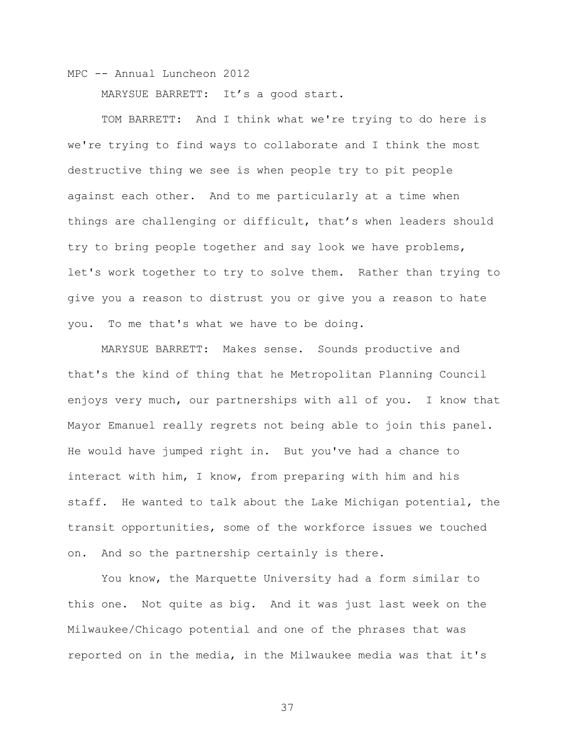MARYSUE BARRETT: It's a good start.

TOM BARRETT: And I think what we're trying to do here is we're trying to find ways to collaborate and I think the most destructive thing we see is when people try to pit people against each other. And to me particularly at a time when things are challenging or difficult, that's when leaders should try to bring people together and say look we have problems, let's work together to try to solve them. Rather than trying to give you a reason to distrust you or give you a reason to hate you. To me that's what we have to be doing.

MARYSUE BARRETT: Makes sense. Sounds productive and that's the kind of thing that he Metropolitan Planning Council enjoys very much, our partnerships with all of you. I know that Mayor Emanuel really regrets not being able to join this panel. He would have jumped right in. But you've had a chance to interact with him, I know, from preparing with him and his staff. He wanted to talk about the Lake Michigan potential, the transit opportunities, some of the workforce issues we touched on. And so the partnership certainly is there.

You know, the Marquette University had a form similar to this one. Not quite as big. And it was just last week on the Milwaukee/Chicago potential and one of the phrases that was reported on in the media, in the Milwaukee media was that it's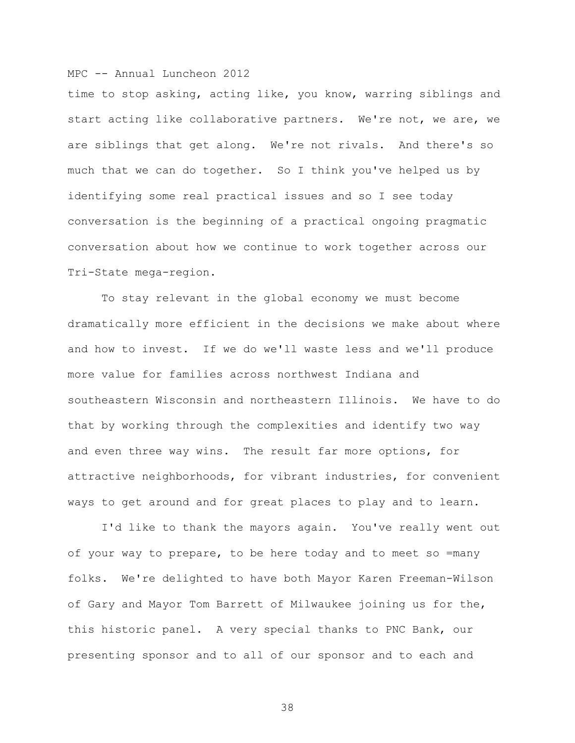time to stop asking, acting like, you know, warring siblings and start acting like collaborative partners. We're not, we are, we are siblings that get along. We're not rivals. And there's so much that we can do together. So I think you've helped us by identifying some real practical issues and so I see today conversation is the beginning of a practical ongoing pragmatic conversation about how we continue to work together across our Tri-State mega-region.

To stay relevant in the global economy we must become dramatically more efficient in the decisions we make about where and how to invest. If we do we'll waste less and we'll produce more value for families across northwest Indiana and southeastern Wisconsin and northeastern Illinois. We have to do that by working through the complexities and identify two way and even three way wins. The result far more options, for attractive neighborhoods, for vibrant industries, for convenient ways to get around and for great places to play and to learn.

I'd like to thank the mayors again. You've really went out of your way to prepare, to be here today and to meet so =many folks. We're delighted to have both Mayor Karen Freeman-Wilson of Gary and Mayor Tom Barrett of Milwaukee joining us for the, this historic panel. A very special thanks to PNC Bank, our presenting sponsor and to all of our sponsor and to each and